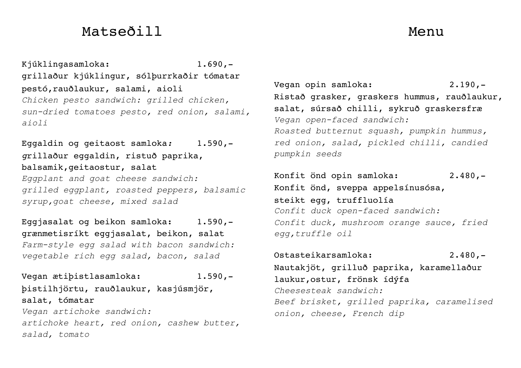# Matseðill Menu

Kjúklingasamloka: 1.690,grillaður kjúklingur, sólþurrkaðir tómatar pestó,rauðlaukur, salami, aioli *Chicken pesto sandwich: grilled chicken, sun-dried tomatoes pesto, red onion, salami, aioli*

Eggaldin og geitaost samloka*:* 1.590, *g*rillaður eggaldin, ristuð paprika, balsamik,geitaostur, salat *Eggplant and goat cheese sandwich: grilled eggplant, roasted peppers, balsamic syrup,goat cheese, mixed salad*

Eggjasalat og beikon samloka: 1.590, grænmetisríkt eggjasalat, beikon, salat *Farm-style egg salad with bacon sandwich: vegetable rich egg salad, bacon, salad*

Vegan ætiþistlasamloka: 1.590, þistilhjörtu, rauðlaukur, kasjúsmjör, salat, tómatar *Vegan artichoke sandwich: artichoke heart, red onion, cashew butter, salad, tomato*

Vegan opin samloka: 2.190,-Ristað grasker, graskers hummus, rauðlaukur, salat, súrsað chilli, sykruð graskersfræ *Vegan open-faced sandwich: Roasted butternut squash, pumpkin hummus, red onion, salad, pickled chilli, candied pumpkin seeds*

Konfit önd opin samloka: 2.480,-Konfit önd, sveppa appelsínusósa, steikt egg, truffluolía *Confit duck open-faced sandwich: Confit duck, mushroom orange sauce, fried egg,truffle oil*

Ostasteikarsamloka: 2.480,- Nautakjöt, grilluð paprika, karamellaður laukur,ostur, frönsk ídýfa *Cheesesteak sandwich: Beef brisket, grilled paprika, caramelised onion, cheese, French dip*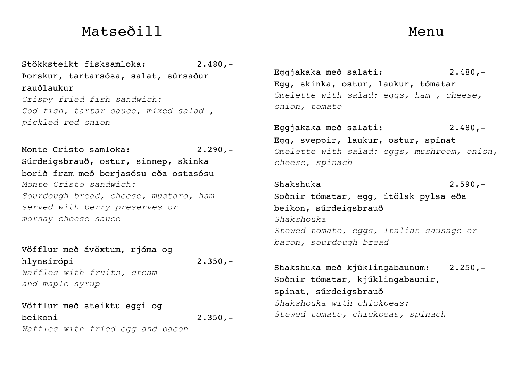## Matseðill Menu

Stökksteikt fisksamloka: 2.480,- Þorskur, tartarsósa, salat, súrsaður rauðlaukur *Crispy fried fish sandwich: Cod fish, tartar sauce, mixed salad , pickled red onion*

Monte Cristo samloka: 2.290.-Súrdeigsbrauð, ostur, sinnep, skinka borið fram með berjasósu eða ostasósu *Monte Cristo sandwich: Sourdough bread, cheese, mustard, ham served with berry preserves or mornay cheese sauce*

Vöfflur með ávöxtum, rjóma og hlynsírópi 2.350,- *Waffles with fruits, cream and maple syrup*

Vöfflur með steiktu eggi og beikoni 2.350,- *Waffles with fried egg and bacon* 

Eggjakaka með salati: 2.480,- Egg, skinka, ostur, laukur, tómatar *Omelette with salad: eggs, ham , cheese, onion, tomato*

Eggjakaka með salati: 2.480,- Egg, sveppir, laukur, ostur, spínat *Omelette with salad: eggs, mushroom, onion, cheese, spinach*

Shakshuka 2.590,- Soðnir tómatar, egg, ítölsk pylsa eða beikon, súrdeigsbrauð *Shakshouka Stewed tomato, eggs, Italian sausage or bacon, sourdough bread*

Shakshuka með kjúklingabaunum: 2.250,- Soðnir tómatar, kjúklingabaunir, spinat, súrdeigsbrauð *Shakshouka with chickpeas: Stewed tomato, chickpeas, spinach*